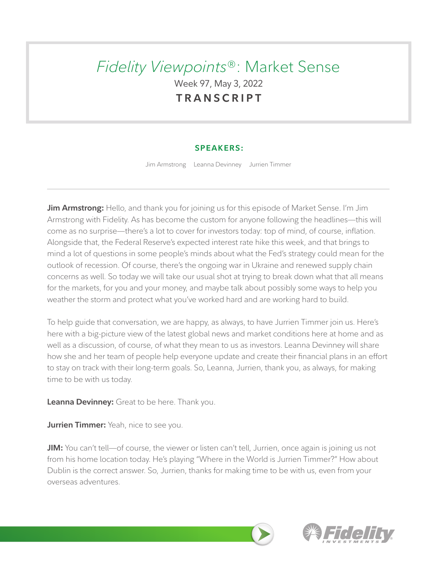# *Fidelity Viewpoints*®: Market Sense Week 97, May 3, 2022 **TRANSCRIPT**

## **SPEAKERS:**

Jim Armstrong Leanna Devinney Jurrien Timmer

**Jim Armstrong:** Hello, and thank you for joining us for this episode of Market Sense. I'm Jim Armstrong with Fidelity. As has become the custom for anyone following the headlines—this will come as no surprise—there's a lot to cover for investors today: top of mind, of course, inflation. Alongside that, the Federal Reserve's expected interest rate hike this week, and that brings to mind a lot of questions in some people's minds about what the Fed's strategy could mean for the outlook of recession. Of course, there's the ongoing war in Ukraine and renewed supply chain concerns as well. So today we will take our usual shot at trying to break down what that all means for the markets, for you and your money, and maybe talk about possibly some ways to help you weather the storm and protect what you've worked hard and are working hard to build.

To help guide that conversation, we are happy, as always, to have Jurrien Timmer join us. Here's here with a big-picture view of the latest global news and market conditions here at home and as well as a discussion, of course, of what they mean to us as investors. Leanna Devinney will share how she and her team of people help everyone update and create their financial plans in an effort to stay on track with their long-term goals. So, Leanna, Jurrien, thank you, as always, for making time to be with us today.

**Leanna Devinney:** Great to be here. Thank you.

**Jurrien Timmer:** Yeah, nice to see you.

**JIM:** You can't tell—of course, the viewer or listen can't tell, Jurrien, once again is joining us not from his home location today. He's playing "Where in the World is Jurrien Timmer?" How about Dublin is the correct answer. So, Jurrien, thanks for making time to be with us, even from your overseas adventures.

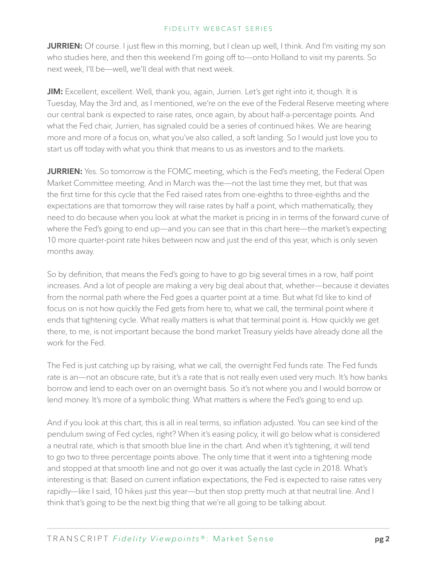**JURRIEN:** Of course. I just flew in this morning, but I clean up well, I think. And I'm visiting my son who studies here, and then this weekend I'm going off to—onto Holland to visit my parents. So next week, I'll be—well, we'll deal with that next week.

**JIM:** Excellent, excellent. Well, thank you, again, Jurrien. Let's get right into it, though. It is Tuesday, May the 3rd and, as I mentioned, we're on the eve of the Federal Reserve meeting where our central bank is expected to raise rates, once again, by about half-a-percentage points. And what the Fed chair, Jurrien, has signaled could be a series of continued hikes. We are hearing more and more of a focus on, what you've also called, a soft landing. So I would just love you to start us off today with what you think that means to us as investors and to the markets.

**JURRIEN:** Yes. So tomorrow is the FOMC meeting, which is the Fed's meeting, the Federal Open Market Committee meeting. And in March was the—not the last time they met, but that was the first time for this cycle that the Fed raised rates from one-eighths to three-eighths and the expectations are that tomorrow they will raise rates by half a point, which mathematically, they need to do because when you look at what the market is pricing in in terms of the forward curve of where the Fed's going to end up—and you can see that in this chart here—the market's expecting 10 more quarter-point rate hikes between now and just the end of this year, which is only seven months away.

So by definition, that means the Fed's going to have to go big several times in a row, half point increases. And a lot of people are making a very big deal about that, whether—because it deviates from the normal path where the Fed goes a quarter point at a time. But what I'd like to kind of focus on is not how quickly the Fed gets from here to, what we call, the terminal point where it ends that tightening cycle. What really matters is what that terminal point is. How quickly we get there, to me, is not important because the bond market Treasury yields have already done all the work for the Fed.

The Fed is just catching up by raising, what we call, the overnight Fed funds rate. The Fed funds rate is an—not an obscure rate, but it's a rate that is not really even used very much. It's how banks borrow and lend to each over on an overnight basis. So it's not where you and I would borrow or lend money. It's more of a symbolic thing. What matters is where the Fed's going to end up.

And if you look at this chart, this is all in real terms, so inflation adjusted. You can see kind of the pendulum swing of Fed cycles, right? When it's easing policy, it will go below what is considered a neutral rate, which is that smooth blue line in the chart. And when it's tightening, it will tend to go two to three percentage points above. The only time that it went into a tightening mode and stopped at that smooth line and not go over it was actually the last cycle in 2018. What's interesting is that: Based on current inflation expectations, the Fed is expected to raise rates very rapidly—like I said, 10 hikes just this year—but then stop pretty much at that neutral line. And I think that's going to be the next big thing that we're all going to be talking about.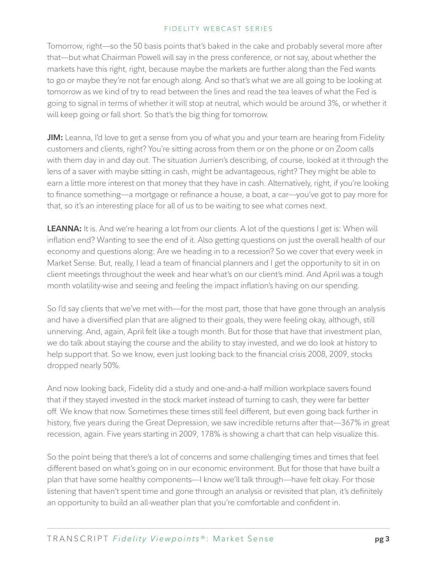Tomorrow, right—so the 50 basis points that's baked in the cake and probably several more after that—but what Chairman Powell will say in the press conference, or not say, about whether the markets have this right, right, because maybe the markets are further along than the Fed wants to go or maybe they're not far enough along. And so that's what we are all going to be looking at tomorrow as we kind of try to read between the lines and read the tea leaves of what the Fed is going to signal in terms of whether it will stop at neutral, which would be around 3%, or whether it will keep going or fall short. So that's the big thing for tomorrow.

**JIM:** Leanna, I'd love to get a sense from you of what you and your team are hearing from Fidelity customers and clients, right? You're sitting across from them or on the phone or on Zoom calls with them day in and day out. The situation Jurrien's describing, of course, looked at it through the lens of a saver with maybe sitting in cash, might be advantageous, right? They might be able to earn a little more interest on that money that they have in cash. Alternatively, right, if you're looking to finance something—a mortgage or refinance a house, a boat, a car—you've got to pay more for that, so it's an interesting place for all of us to be waiting to see what comes next.

**LEANNA:** It is. And we're hearing a lot from our clients. A lot of the questions I get is: When will inflation end? Wanting to see the end of it. Also getting questions on just the overall health of our economy and questions along: Are we heading in to a recession? So we cover that every week in Market Sense. But, really, I lead a team of financial planners and I get the opportunity to sit in on client meetings throughout the week and hear what's on our client's mind. And April was a tough month volatility-wise and seeing and feeling the impact inflation's having on our spending.

So I'd say clients that we've met with—for the most part, those that have gone through an analysis and have a diversified plan that are aligned to their goals, they were feeling okay, although, still unnerving. And, again, April felt like a tough month. But for those that have that investment plan, we do talk about staying the course and the ability to stay invested, and we do look at history to help support that. So we know, even just looking back to the financial crisis 2008, 2009, stocks dropped nearly 50%.

And now looking back, Fidelity did a study and one-and-a-half million workplace savers found that if they stayed invested in the stock market instead of turning to cash, they were far better off. We know that now. Sometimes these times still feel different, but even going back further in history, five years during the Great Depression, we saw incredible returns after that—367% in great recession, again. Five years starting in 2009, 178% is showing a chart that can help visualize this.

So the point being that there's a lot of concerns and some challenging times and times that feel different based on what's going on in our economic environment. But for those that have built a plan that have some healthy components—I know we'll talk through—have felt okay. For those listening that haven't spent time and gone through an analysis or revisited that plan, it's definitely an opportunity to build an all-weather plan that you're comfortable and confident in.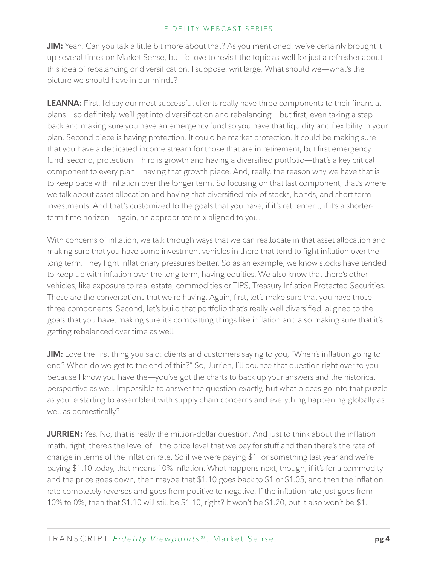**JIM:** Yeah. Can you talk a little bit more about that? As you mentioned, we've certainly brought it up several times on Market Sense, but I'd love to revisit the topic as well for just a refresher about this idea of rebalancing or diversification, I suppose, writ large. What should we—what's the picture we should have in our minds?

**LEANNA:** First, I'd say our most successful clients really have three components to their financial plans—so definitely, we'll get into diversification and rebalancing—but first, even taking a step back and making sure you have an emergency fund so you have that liquidity and flexibility in your plan. Second piece is having protection. It could be market protection. It could be making sure that you have a dedicated income stream for those that are in retirement, but first emergency fund, second, protection. Third is growth and having a diversified portfolio—that's a key critical component to every plan—having that growth piece. And, really, the reason why we have that is to keep pace with inflation over the longer term. So focusing on that last component, that's where we talk about asset allocation and having that diversified mix of stocks, bonds, and short term investments. And that's customized to the goals that you have, if it's retirement, if it's a shorterterm time horizon—again, an appropriate mix aligned to you.

With concerns of inflation, we talk through ways that we can reallocate in that asset allocation and making sure that you have some investment vehicles in there that tend to fight inflation over the long term. They fight inflationary pressures better. So as an example, we know stocks have tended to keep up with inflation over the long term, having equities. We also know that there's other vehicles, like exposure to real estate, commodities or TIPS, Treasury Inflation Protected Securities. These are the conversations that we're having. Again, first, let's make sure that you have those three components. Second, let's build that portfolio that's really well diversified, aligned to the goals that you have, making sure it's combatting things like inflation and also making sure that it's getting rebalanced over time as well.

**JIM:** Love the first thing you said: clients and customers saying to you, "When's inflation going to end? When do we get to the end of this?" So, Jurrien, I'll bounce that question right over to you because I know you have the—you've got the charts to back up your answers and the historical perspective as well. Impossible to answer the question exactly, but what pieces go into that puzzle as you're starting to assemble it with supply chain concerns and everything happening globally as well as domestically?

**JURRIEN:** Yes. No, that is really the million-dollar question. And just to think about the inflation math, right, there's the level of—the price level that we pay for stuff and then there's the rate of change in terms of the inflation rate. So if we were paying \$1 for something last year and we're paying \$1.10 today, that means 10% inflation. What happens next, though, if it's for a commodity and the price goes down, then maybe that \$1.10 goes back to \$1 or \$1.05, and then the inflation rate completely reverses and goes from positive to negative. If the inflation rate just goes from 10% to 0%, then that \$1.10 will still be \$1.10, right? It won't be \$1.20, but it also won't be \$1.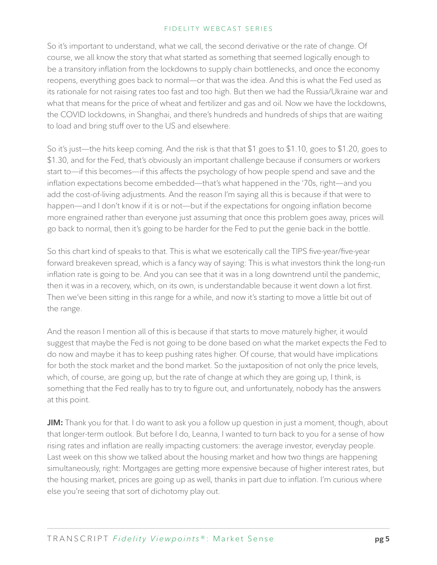So it's important to understand, what we call, the second derivative or the rate of change. Of course, we all know the story that what started as something that seemed logically enough to be a transitory inflation from the lockdowns to supply chain bottlenecks, and once the economy reopens, everything goes back to normal—or that was the idea. And this is what the Fed used as its rationale for not raising rates too fast and too high. But then we had the Russia/Ukraine war and what that means for the price of wheat and fertilizer and gas and oil. Now we have the lockdowns, the COVID lockdowns, in Shanghai, and there's hundreds and hundreds of ships that are waiting to load and bring stuff over to the US and elsewhere.

So it's just—the hits keep coming. And the risk is that that \$1 goes to \$1.10, goes to \$1.20, goes to \$1.30, and for the Fed, that's obviously an important challenge because if consumers or workers start to—if this becomes—if this affects the psychology of how people spend and save and the inflation expectations become embedded—that's what happened in the '70s, right—and you add the cost-of-living adjustments. And the reason I'm saying all this is because if that were to happen—and I don't know if it is or not—but if the expectations for ongoing inflation become more engrained rather than everyone just assuming that once this problem goes away, prices will go back to normal, then it's going to be harder for the Fed to put the genie back in the bottle.

So this chart kind of speaks to that. This is what we esoterically call the TIPS five-year/five-year forward breakeven spread, which is a fancy way of saying: This is what investors think the long-run inflation rate is going to be. And you can see that it was in a long downtrend until the pandemic, then it was in a recovery, which, on its own, is understandable because it went down a lot first. Then we've been sitting in this range for a while, and now it's starting to move a little bit out of the range.

And the reason I mention all of this is because if that starts to move maturely higher, it would suggest that maybe the Fed is not going to be done based on what the market expects the Fed to do now and maybe it has to keep pushing rates higher. Of course, that would have implications for both the stock market and the bond market. So the juxtaposition of not only the price levels, which, of course, are going up, but the rate of change at which they are going up, I think, is something that the Fed really has to try to figure out, and unfortunately, nobody has the answers at this point.

**JIM:** Thank you for that. I do want to ask you a follow up question in just a moment, though, about that longer-term outlook. But before I do, Leanna, I wanted to turn back to you for a sense of how rising rates and inflation are really impacting customers: the average investor, everyday people. Last week on this show we talked about the housing market and how two things are happening simultaneously, right: Mortgages are getting more expensive because of higher interest rates, but the housing market, prices are going up as well, thanks in part due to inflation. I'm curious where else you're seeing that sort of dichotomy play out.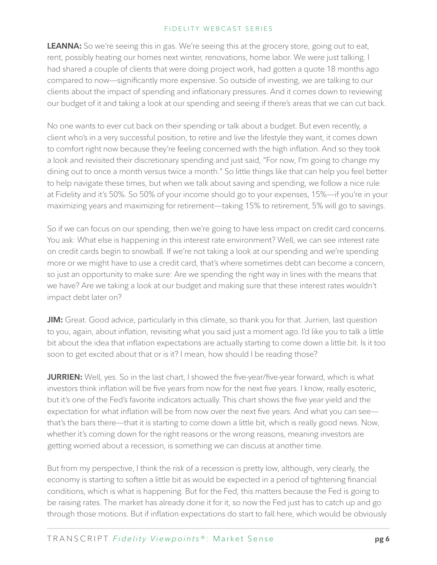**LEANNA:** So we're seeing this in gas. We're seeing this at the grocery store, going out to eat, rent, possibly heating our homes next winter, renovations, home labor. We were just talking. I had shared a couple of clients that were doing project work, had gotten a quote 18 months ago compared to now—significantly more expensive. So outside of investing, we are talking to our clients about the impact of spending and inflationary pressures. And it comes down to reviewing our budget of it and taking a look at our spending and seeing if there's areas that we can cut back.

No one wants to ever cut back on their spending or talk about a budget. But even recently, a client who's in a very successful position, to retire and live the lifestyle they want, it comes down to comfort right now because they're feeling concerned with the high inflation. And so they took a look and revisited their discretionary spending and just said, "For now, I'm going to change my dining out to once a month versus twice a month." So little things like that can help you feel better to help navigate these times, but when we talk about saving and spending, we follow a nice rule at Fidelity and it's 50%. So 50% of your income should go to your expenses, 15%—if you're in your maximizing years and maximizing for retirement—taking 15% to retirement, 5% will go to savings.

So if we can focus on our spending, then we're going to have less impact on credit card concerns. You ask: What else is happening in this interest rate environment? Well, we can see interest rate on credit cards begin to snowball. If we're not taking a look at our spending and we're spending more or we might have to use a credit card, that's where sometimes debt can become a concern, so just an opportunity to make sure: Are we spending the right way in lines with the means that we have? Are we taking a look at our budget and making sure that these interest rates wouldn't impact debt later on?

**JIM:** Great. Good advice, particularly in this climate, so thank you for that. Jurrien, last question to you, again, about inflation, revisiting what you said just a moment ago. I'd like you to talk a little bit about the idea that inflation expectations are actually starting to come down a little bit. Is it too soon to get excited about that or is it? I mean, how should I be reading those?

**JURRIEN:** Well, yes. So in the last chart, I showed the five-year/five-year forward, which is what investors think inflation will be five years from now for the next five years. I know, really esoteric, but it's one of the Fed's favorite indicators actually. This chart shows the five year yield and the expectation for what inflation will be from now over the next five years. And what you can see that's the bars there—that it is starting to come down a little bit, which is really good news. Now, whether it's coming down for the right reasons or the wrong reasons, meaning investors are getting worried about a recession, is something we can discuss at another time.

But from my perspective, I think the risk of a recession is pretty low, although, very clearly, the economy is starting to soften a little bit as would be expected in a period of tightening financial conditions, which is what is happening. But for the Fed, this matters because the Fed is going to be raising rates. The market has already done it for it, so now the Fed just has to catch up and go through those motions. But if inflation expectations do start to fall here, which would be obviously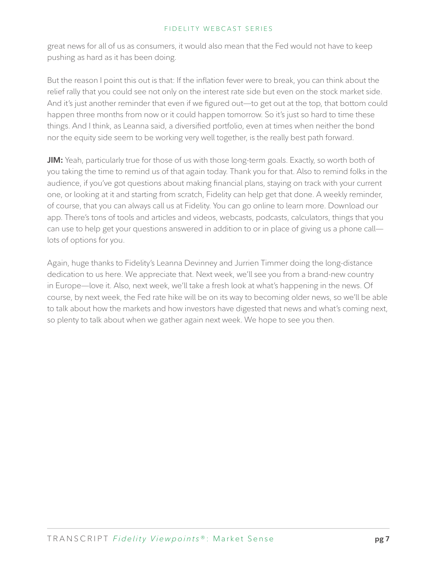great news for all of us as consumers, it would also mean that the Fed would not have to keep pushing as hard as it has been doing.

But the reason I point this out is that: If the inflation fever were to break, you can think about the relief rally that you could see not only on the interest rate side but even on the stock market side. And it's just another reminder that even if we figured out—to get out at the top, that bottom could happen three months from now or it could happen tomorrow. So it's just so hard to time these things. And I think, as Leanna said, a diversified portfolio, even at times when neither the bond nor the equity side seem to be working very well together, is the really best path forward.

**JIM:** Yeah, particularly true for those of us with those long-term goals. Exactly, so worth both of you taking the time to remind us of that again today. Thank you for that. Also to remind folks in the audience, if you've got questions about making financial plans, staying on track with your current one, or looking at it and starting from scratch, Fidelity can help get that done. A weekly reminder, of course, that you can always call us at Fidelity. You can go online to learn more. Download our app. There's tons of tools and articles and videos, webcasts, podcasts, calculators, things that you can use to help get your questions answered in addition to or in place of giving us a phone call lots of options for you.

Again, huge thanks to Fidelity's Leanna Devinney and Jurrien Timmer doing the long-distance dedication to us here. We appreciate that. Next week, we'll see you from a brand-new country in Europe—love it. Also, next week, we'll take a fresh look at what's happening in the news. Of course, by next week, the Fed rate hike will be on its way to becoming older news, so we'll be able to talk about how the markets and how investors have digested that news and what's coming next, so plenty to talk about when we gather again next week. We hope to see you then.